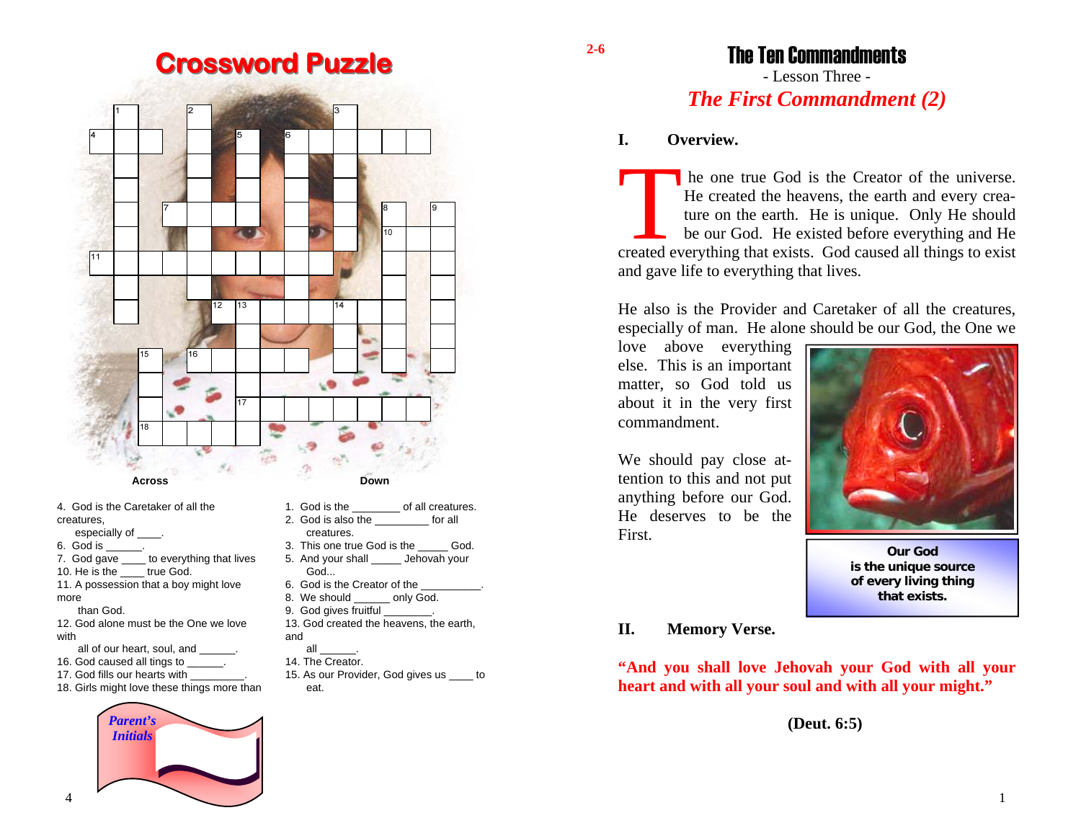# **Crossword Puzzle**



- -
- 12. God alone must be the One we lovewith
	- all of our heart, soul, and \_\_\_\_\_\_.
- 16. God caused all tings to  $\qquad \qquad$ .

4

more

than God.

- 17. God fills our hearts with
- 18. Girls might love these things more than



- 1. God is the of all creatures.
- 3. This one true God is the God.
- 6. God is the Creator of the
- 8. We should only God.
- 9. God gives fruitful
- 13. God created the heavens, the earth, and
- $all$
- 14. The Creator.
- 15. As our Provider, God gives us \_\_\_\_ to eat.

The Ten Commandments

## - Lesson Three - *The First Commandment (2)*

## **I. Overview.**

In the one true God is the Creator of the universe. He created the heavens, the earth and every crea-<br>ture on the earth. He is unique. Only He should be our God. He existed before everything and He created everything that exists. God caused all things to exist and gave life to everything that lives.

He also is the Provider and Caretaker of all the creatures, especially of man. He alone should be our God, the One we

love above everything else. This is an important matter, so God told us about it in the very first commandment.

We should pay close attention to this and not put anything before our God. He deserves to be the First.



**Our God is the unique source of every living thing that exists.** 

## **II. Memory Verse.**

**"And you shall love Jehovah your God with all your heart and with all your soul and with all your might."** 

**(Deut. 6:5)** 

**2-6** 

1